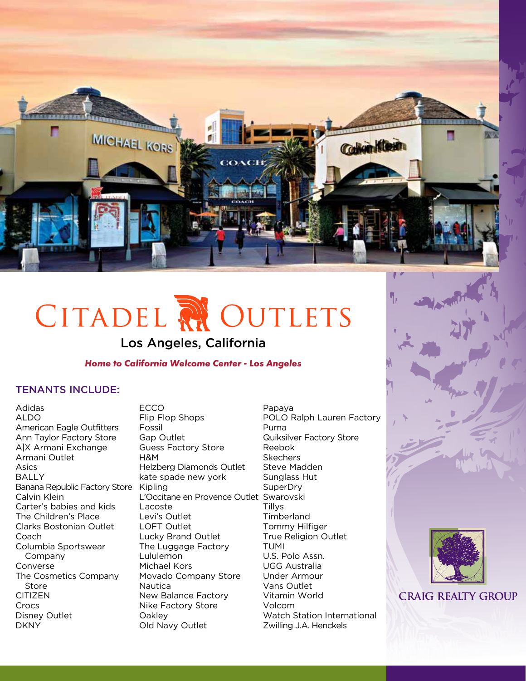

# CITADEL RI OUTLETS

# Los Angeles, California

#### *Home to California Welcome Center - Los Angeles*

### TENANTS INCLUDE:

Adidas ALDO American Eagle Outfitters Ann Taylor Factory Store A|X Armani Exchange Armani Outlet Asics BALLY Banana Republic Factory Store Calvin Klein Carter's babies and kids The Children's Place Clarks Bostonian Outlet Coach Columbia Sportswear Company Converse The Cosmetics Company Store CITIZEN Crocs Disney Outlet DKNY

ECCO Flip Flop Shops Fossil Gap Outlet Guess Factory Store H&M Helzberg Diamonds Outlet kate spade new york Kipling L'Occitane en Provence Outlet Swarovski Lacoste Levi's Outlet LOFT Outlet Lucky Brand Outlet The Luggage Factory Lululemon Michael Kors Movado Company Store Nautica New Balance Factory Nike Factory Store **Oakley** Old Navy Outlet

Papaya POLO Ralph Lauren Factory Puma Quiksilver Factory Store Reebok Skechers Steve Madden Sunglass Hut **SuperDry Tillys Timberland** Tommy Hilfiger True Religion Outlet TUMI U.S. Polo Assn. UGG Australia Under Armour Vans Outlet Vitamin World Volcom Watch Station International Zwilling J.A. Henckels





**CRAIG REALTY GROUP**